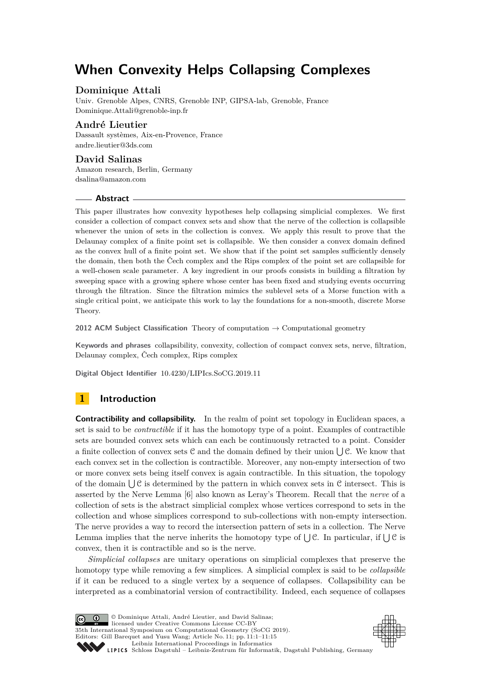# **When Convexity Helps Collapsing Complexes**

# **Dominique Attali**

Univ. Grenoble Alpes, CNRS, Grenoble INP, GIPSA-lab, Grenoble, France [Dominique.Attali@grenoble-inp.fr](mailto:Dominique.Attali@grenoble-inp.fr)

# **André Lieutier**

Dassault systèmes, Aix-en-Provence, France [andre.lieutier@3ds.com](mailto:andre.lieutier@3ds.com)

## **David Salinas**

Amazon research, Berlin, Germany [dsalina@amazon.com](mailto:dsalina@amazon.com)

#### **Abstract**

This paper illustrates how convexity hypotheses help collapsing simplicial complexes. We first consider a collection of compact convex sets and show that the nerve of the collection is collapsible whenever the union of sets in the collection is convex. We apply this result to prove that the Delaunay complex of a finite point set is collapsible. We then consider a convex domain defined as the convex hull of a finite point set. We show that if the point set samples sufficiently densely the domain, then both the Čech complex and the Rips complex of the point set are collapsible for a well-chosen scale parameter. A key ingredient in our proofs consists in building a filtration by sweeping space with a growing sphere whose center has been fixed and studying events occurring through the filtration. Since the filtration mimics the sublevel sets of a Morse function with a single critical point, we anticipate this work to lay the foundations for a non-smooth, discrete Morse Theory.

**2012 ACM Subject Classification** Theory of computation → Computational geometry

**Keywords and phrases** collapsibility, convexity, collection of compact convex sets, nerve, filtration, Delaunay complex, Čech complex, Rips complex

**Digital Object Identifier** [10.4230/LIPIcs.SoCG.2019.11](https://doi.org/10.4230/LIPIcs.SoCG.2019.11)

# **1 Introduction**

**Contractibility and collapsibility.** In the realm of point set topology in Euclidean spaces, a set is said to be *contractible* if it has the homotopy type of a point. Examples of contractible sets are bounded convex sets which can each be continuously retracted to a point. Consider a finite collection of convex sets  $C$  and the domain defined by their union  $\bigcup C$ . We know that each convex set in the collection is contractible. Moreover, any non-empty intersection of two or more convex sets being itself convex is again contractible. In this situation, the topology of the domain  $\bigcup \mathcal{C}$  is determined by the pattern in which convex sets in  $\mathcal{C}$  intersect. This is asserted by the Nerve Lemma [\[6\]](#page-14-0) also known as Leray's Theorem. Recall that the *nerve* of a collection of sets is the abstract simplicial complex whose vertices correspond to sets in the collection and whose simplices correspond to sub-collections with non-empty intersection. The nerve provides a way to record the intersection pattern of sets in a collection. The Nerve Lemma implies that the nerve inherits the homotopy type of  $\bigcup \mathcal{C}$ . In particular, if  $\bigcup \mathcal{C}$  is convex, then it is contractible and so is the nerve.

*Simplicial collapses* are unitary operations on simplicial complexes that preserve the homotopy type while removing a few simplices. A simplicial complex is said to be *collapsible* if it can be reduced to a single vertex by a sequence of collapses. Collapsibility can be interpreted as a combinatorial version of contractibility. Indeed, each sequence of collapses



© Dominique Attali, André Lieutier, and David Salinas; licensed under Creative Commons License CC-BY 35th International Symposium on Computational Geometry (SoCG 2019). Editors: Gill Barequet and Yusu Wang; Article No. 11; pp. 11:1–11[:15](#page-14-1) [Leibniz International Proceedings in Informatics](https://www.dagstuhl.de/lipics/) SCHLOSS Dagstuhl – Leibniz-Zentrum für Informatik, Dagstuhl Publishing, Germany

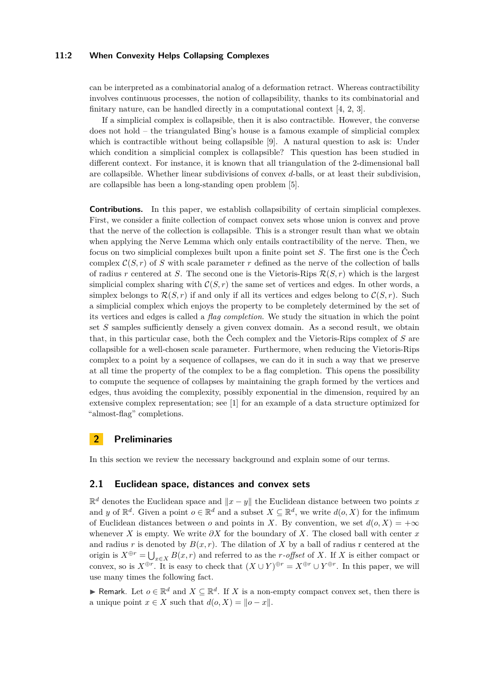#### **11:2 When Convexity Helps Collapsing Complexes**

can be interpreted as a combinatorial analog of a deformation retract. Whereas contractibility involves continuous processes, the notion of collapsibility, thanks to its combinatorial and finitary nature, can be handled directly in a computational context [\[4,](#page-14-2) [2,](#page-14-3) [3\]](#page-14-4).

If a simplicial complex is collapsible, then it is also contractible. However, the converse does not hold – the triangulated Bing's house is a famous example of simplicial complex which is contractible without being collapsible [\[9\]](#page-14-5). A natural question to ask is: Under which condition a simplicial complex is collapsible? This question has been studied in different context. For instance, it is known that all triangulation of the 2-dimensional ball are collapsible. Whether linear subdivisions of convex *d*-balls, or at least their subdivision, are collapsible has been a long-standing open problem [\[5\]](#page-14-6).

**Contributions.** In this paper, we establish collapsibility of certain simplicial complexes. First, we consider a finite collection of compact convex sets whose union is convex and prove that the nerve of the collection is collapsible. This is a stronger result than what we obtain when applying the Nerve Lemma which only entails contractibility of the nerve. Then, we focus on two simplicial complexes built upon a finite point set *S*. The first one is the Čech complex  $C(S,r)$  of *S* with scale parameter *r* defined as the nerve of the collection of balls of radius r centered at *S*. The second one is the Vietoris-Rips  $\mathcal{R}(S,r)$  which is the largest simplicial complex sharing with  $C(S, r)$  the same set of vertices and edges. In other words, a simplex belongs to  $\mathcal{R}(S,r)$  if and only if all its vertices and edges belong to  $\mathcal{C}(S,r)$ . Such a simplicial complex which enjoys the property to be completely determined by the set of its vertices and edges is called a *flag completion*. We study the situation in which the point set *S* samples sufficiently densely a given convex domain. As a second result, we obtain that, in this particular case, both the Čech complex and the Vietoris-Rips complex of *S* are collapsible for a well-chosen scale parameter. Furthermore, when reducing the Vietoris-Rips complex to a point by a sequence of collapses, we can do it in such a way that we preserve at all time the property of the complex to be a flag completion. This opens the possibility to compute the sequence of collapses by maintaining the graph formed by the vertices and edges, thus avoiding the complexity, possibly exponential in the dimension, required by an extensive complex representation; see [\[1\]](#page-14-7) for an example of a data structure optimized for "almost-flag" completions.

# **2 Preliminaries**

In this section we review the necessary background and explain some of our terms.

#### **2.1 Euclidean space, distances and convex sets**

 $\mathbb{R}^d$  denotes the Euclidean space and  $\|x - y\|$  the Euclidean distance between two points *x* and *y* of  $\mathbb{R}^d$ . Given a point  $o \in \mathbb{R}^d$  and a subset  $X \subseteq \mathbb{R}^d$ , we write  $d(o, X)$  for the infimum of Euclidean distances between *o* and points in *X*. By convention, we set  $d(o, X) = +\infty$ whenever *X* is empty. We write *∂X* for the boundary of *X*. The closed ball with center *x* and radius *r* is denoted by  $B(x, r)$ . The dilation of *X* by a ball of radius r centered at the origin is  $X^{\oplus r} = \bigcup_{x \in X} B(x, r)$  and referred to as the *r-offset* of *X*. If *X* is either compact or convex, so is  $X^{\oplus r}$ . It is easy to check that  $(X \cup Y)^{\oplus r} = X^{\oplus r} \cup Y^{\oplus r}$ . In this paper, we will use many times the following fact.

► Remark. Let  $o \in \mathbb{R}^d$  and  $X \subseteq \mathbb{R}^d$ . If *X* is a non-empty compact convex set, then there is a unique point  $x \in X$  such that  $d(o, X) = ||o - x||$ .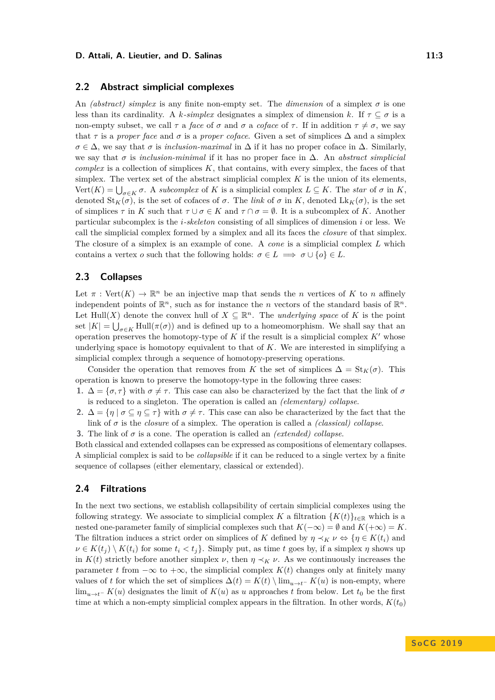#### **D. Attali, A. Lieutier, and D. Salinas 11:3 11:3 11:3**

## **2.2 Abstract simplicial complexes**

An *(abstract) simplex* is any finite non-empty set. The *dimension* of a simplex *σ* is one less than its cardinality. A *k-simplex* designates a simplex of dimension *k*. If  $\tau \subseteq \sigma$  is a non-empty subset, we call  $\tau$  a *face* of  $\sigma$  and  $\sigma$  a *coface* of  $\tau$ . If in addition  $\tau \neq \sigma$ , we say that  $\tau$  is a *proper face* and  $\sigma$  is a *proper coface*. Given a set of simplices  $\Delta$  and a simplex  $\sigma \in \Delta$ , we say that  $\sigma$  is *inclusion-maximal* in  $\Delta$  if it has no proper coface in  $\Delta$ . Similarly, we say that *σ* is *inclusion-minimal* if it has no proper face in ∆. An *abstract simplicial complex* is a collection of simplices *K*, that contains, with every simplex, the faces of that simplex. The vertex set of the abstract simplicial complex  $K$  is the union of its elements,  $Vert(K) = \bigcup_{\sigma \in K} \sigma$ . A *subcomplex* of *K* is a simplicial complex  $L \subseteq K$ . The *star* of  $\sigma$  in *K*, denoted  $\text{St}_K(\sigma)$ , is the set of cofaces of  $\sigma$ . The *link* of  $\sigma$  in  $K$ , denoted  $\text{Lk}_K(\sigma)$ , is the set of simplices  $\tau$  in *K* such that  $\tau \cup \sigma \in K$  and  $\tau \cap \sigma = \emptyset$ . It is a subcomplex of *K*. Another particular subcomplex is the *i-skeleton* consisting of all simplices of dimension *i* or less. We call the simplicial complex formed by a simplex and all its faces the *closure* of that simplex. The closure of a simplex is an example of cone. A *cone* is a simplicial complex *L* which contains a vertex *o* such that the following holds:  $\sigma \in L \implies \sigma \cup \{o\} \in L$ .

# <span id="page-2-0"></span>**2.3 Collapses**

Let  $\pi$ : Vert $(K) \to \mathbb{R}^n$  be an injective map that sends the *n* vertices of *K* to *n* affinely independent points of  $\mathbb{R}^n$ , such as for instance the *n* vectors of the standard basis of  $\mathbb{R}^n$ . Let Hull(*X*) denote the convex hull of  $X \subseteq \mathbb{R}^n$ . The *underlying space* of *K* is the point set  $|K| = \bigcup_{\sigma \in K} \text{Hull}(\pi(\sigma))$  and is defined up to a homeomorphism. We shall say that an operation preserves the homotopy-type of  $K$  if the result is a simplicial complex  $K'$  whose underlying space is homotopy equivalent to that of *K*. We are interested in simplifying a simplicial complex through a sequence of homotopy-preserving operations.

Consider the operation that removes from *K* the set of simplices  $\Delta = St_K(\sigma)$ . This operation is known to preserve the homotopy-type in the following three cases:

**1.**  $\Delta = \{\sigma, \tau\}$  with  $\sigma \neq \tau$ . This case can also be characterized by the fact that the link of  $\sigma$ is reduced to a singleton. The operation is called an *(elementary) collapse*.

**2.**  $\Delta = \{ \eta \mid \sigma \subseteq \eta \subseteq \tau \}$  with  $\sigma \neq \tau$ . This case can also be characterized by the fact that the link of  $\sigma$  is the *closure* of a simplex. The operation is called a *(classical) collapse*.

**3.** The link of *σ* is a cone. The operation is called an *(extended) collapse*.

Both classical and extended collapses can be expressed as compositions of elementary collapses. A simplicial complex is said to be *collapsible* if it can be reduced to a single vertex by a finite sequence of collapses (either elementary, classical or extended).

## <span id="page-2-1"></span>**2.4 Filtrations**

In the next two sections, we establish collapsibility of certain simplicial complexes using the following strategy. We associate to simplicial complex *K* a filtration  $\{K(t)\}_{t\in\mathbb{R}}$  which is a nested one-parameter family of simplicial complexes such that  $K(-\infty) = \emptyset$  and  $K(+\infty) = K$ . The filtration induces a strict order on simplices of *K* defined by  $\eta \prec_K \nu \Leftrightarrow {\eta \in K(t_i)}$  and  $\nu \in K(t_i) \setminus K(t_i)$  for some  $t_i < t_j$ . Simply put, as time *t* goes by, if a simplex *η* shows up in  $K(t)$  strictly before another simplex *ν*, then  $\eta \prec_K \nu$ . As we continuously increases the parameter *t* from  $-\infty$  to  $+\infty$ , the simplicial complex  $K(t)$  changes only at finitely many values of *t* for which the set of simplices  $\Delta(t) = K(t) \ \lim_{u \to t^-} K(u)$  is non-empty, where  $\lim_{u\to t^-} K(u)$  designates the limit of  $K(u)$  as *u* approaches *t* from below. Let  $t_0$  be the first time at which a non-empty simplicial complex appears in the filtration. In other words,  $K(t_0)$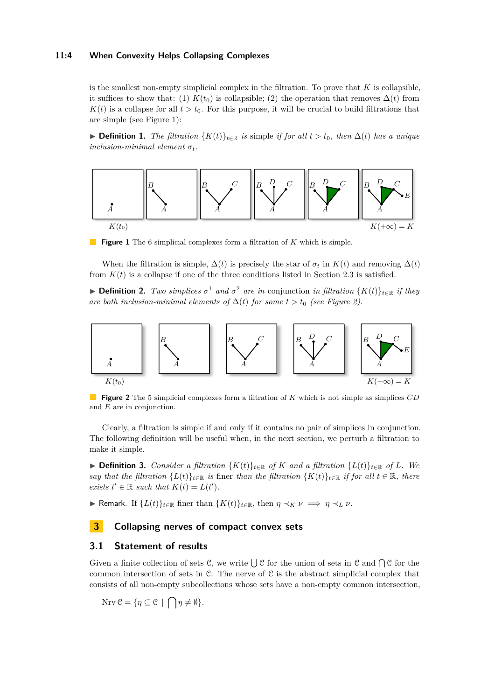#### **11:4 When Convexity Helps Collapsing Complexes**

is the smallest non-empty simplicial complex in the filtration. To prove that *K* is collapsible, it suffices to show that: (1)  $K(t_0)$  is collapsible; (2) the operation that removes  $\Delta(t)$  from  $K(t)$  is a collapse for all  $t > t_0$ . For this purpose, it will be crucial to build filtrations that are simple (see Figure [1\)](#page-3-0):

**► Definition 1.** *The filtration*  ${K(t)}_{t \in \mathbb{R}}$  *is* simple *if for all*  $t > t_0$ *, then*  $\Delta(t)$  *has a unique inclusion-minimal element*  $\sigma_t$ *.* 

<span id="page-3-0"></span>

**Figure 1** The 6 simplicial complexes form a filtration of *K* which is simple.

When the filtration is simple,  $\Delta(t)$  is precisely the star of  $\sigma_t$  in  $K(t)$  and removing  $\Delta(t)$ from  $K(t)$  is a collapse if one of the three conditions listed in Section [2.3](#page-2-0) is satisfied.

**► Definition 2.** *Two simplices*  $σ$ <sup>1</sup> *and*  $σ$ <sup>2</sup> *are in* conjunction *in filtration*  ${K(t)}_{t∈ℝ}$  *if they are both inclusion-minimal elements of*  $\Delta(t)$  *for some*  $t > t_0$  *(see Figure [2\)](#page-3-1).* 

<span id="page-3-1"></span>

**Figure 2** The 5 simplicial complexes form a filtration of *K* which is not simple as simplices *CD* and *E* are in conjunction.

Clearly, a filtration is simple if and only if it contains no pair of simplices in conjunction. The following definition will be useful when, in the next section, we perturb a filtration to make it simple.

▶ **Definition 3.** *Consider a filtration*  ${K(t)}_{t \in \mathbb{R}}$  *of K and a filtration*  ${L(t)}_{t \in \mathbb{R}}$  *of L. We say that the filtration*  $\{L(t)\}_{t\in\mathbb{R}}$  *is* finer *than the filtration*  $\{K(t)\}_{t\in\mathbb{R}}$  *if for all*  $t \in \mathbb{R}$ *, there exists*  $t' \in \mathbb{R}$  *such that*  $K(t) = L(t')$ *.* 

 $\blacktriangleright$  Remark. If  ${L(t)}_{t \in \mathbb{R}}$  finer than  ${K(t)}_{t \in \mathbb{R}}$ , then  $η \prec_K ν$   $\Longrightarrow η \prec_L ν$ .

# **3 Collapsing nerves of compact convex sets**

# **3.1 Statement of results**

Given a finite collection of sets C, we write  $\bigcup \mathcal{C}$  for the union of sets in C and  $\bigcap \mathcal{C}$  for the common intersection of sets in  $\mathcal C$ . The nerve of  $\mathcal C$  is the abstract simplicial complex that consists of all non-empty subcollections whose sets have a non-empty common intersection,

 $\text{Nrv } \mathcal{C} = \{ \eta \subseteq \mathcal{C} \mid \bigcap \eta \neq \emptyset \}.$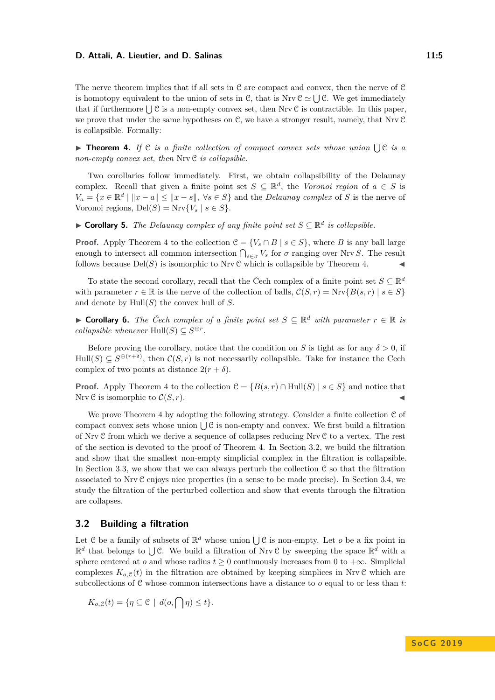#### **D. Attali, A. Lieutier, and D. Salinas 11:5 11:5 11:5**

The nerve theorem implies that if all sets in C are compact and convex, then the nerve of C is homotopy equivalent to the union of sets in C, that is Nrv  $\mathcal{C} \simeq \bigcup \mathcal{C}$ . We get immediately that if furthermore  $\bigcup \mathcal{C}$  is a non-empty convex set, then Nrv  $\mathcal{C}$  is contractible. In this paper, we prove that under the same hypotheses on C, we have a stronger result, namely, that Nrv C is collapsible. Formally:

<span id="page-4-0"></span> $\triangleright$  **Theorem 4.** If  $\mathcal{C}$  *is a finite collection of compact convex sets whose union*  $\bigcup \mathcal{C}$  *is a non-empty convex set, then* Nrv C *is collapsible.*

Two corollaries follow immediately. First, we obtain collapsibility of the Delaunay complex. Recall that given a finite point set  $S \subseteq \mathbb{R}^d$ , the *Voronoi region* of  $a \in S$  is  $V_a = \{x \in \mathbb{R}^d \mid ||x - a|| \le ||x - s||, \ \forall s \in S\}$  and the *Delaunay complex* of *S* is the nerve of Voronoi regions,  $Del(S) = Nrv{V_s | s \in S}.$ 

▶ **Corollary 5.** *The Delaunay complex of any finite point set*  $S \subseteq \mathbb{R}^d$  *is collapsible.* 

**Proof.** Apply Theorem [4](#page-4-0) to the collection  $\mathcal{C} = \{V_s \cap B \mid s \in S\}$ , where *B* is any ball large enough to intersect all common intersection  $\bigcap_{s \in \sigma} V_s$  for  $\sigma$  ranging over Nrv *S*. The result follows because  $Del(S)$  is isomorphic to Nrv C which is collapsible by Theorem [4.](#page-4-0)

To state the second corollary, recall that the Čech complex of a finite point set  $S \subseteq \mathbb{R}^d$ with parameter  $r \in \mathbb{R}$  is the nerve of the collection of balls,  $\mathcal{C}(S,r) = Nrv\{B(s,r) \mid s \in S\}$ and denote by Hull(*S*) the convex hull of *S*.

▶ Corollary 6. The Čech complex of a finite point set  $S \subseteq \mathbb{R}^d$  with parameter  $r \in \mathbb{R}$  is *collapsible whenever*  $Hull(S) \subseteq S^{\oplus r}$ .

Before proving the corollary, notice that the condition on *S* is tight as for any  $\delta > 0$ , if  $\text{Hull}(S) \subseteq S^{\oplus (r+\delta)}$ , then  $\mathcal{C}(S,r)$  is not necessarily collapsible. Take for instance the Cech complex of two points at distance  $2(r + \delta)$ .

**Proof.** Apply Theorem [4](#page-4-0) to the collection  $\mathcal{C} = \{B(s,r) \cap \text{Hull}(S) \mid s \in S\}$  and notice that Nrv  $C$  is isomorphic to  $C(S, r)$ .

We prove Theorem [4](#page-4-0) by adopting the following strategy. Consider a finite collection C of compact convex sets whose union  $\bigcup \mathcal{C}$  is non-empty and convex. We first build a filtration of Nrv C from which we derive a sequence of collapses reducing Nrv C to a vertex. The rest of the section is devoted to the proof of Theorem [4.](#page-4-0) In Section [3.2,](#page-4-1) we build the filtration and show that the smallest non-empty simplicial complex in the filtration is collapsible. In Section [3.3,](#page-5-0) we show that we can always perturb the collection  $\mathcal C$  so that the filtration associated to Nrv C enjoys nice properties (in a sense to be made precise). In Section [3.4,](#page-7-0) we study the filtration of the perturbed collection and show that events through the filtration are collapses.

# <span id="page-4-1"></span>**3.2 Building a filtration**

Let  $C$  be a family of subsets of  $\mathbb{R}^d$  whose union  $\bigcup C$  is non-empty. Let *o* be a fix point in  $\mathbb{R}^d$  that belongs to  $\bigcup \mathcal{C}$ . We build a filtration of Nrv C by sweeping the space  $\mathbb{R}^d$  with a sphere centered at *o* and whose radius  $t > 0$  continuously increases from 0 to  $+\infty$ . Simplicial complexes  $K_{o,\mathcal{C}}(t)$  in the filtration are obtained by keeping simplices in Nrv C which are subcollections of C whose common intersections have a distance to *o* equal to or less than *t*:

$$
K_{o,\mathcal{C}}(t) = \{ \eta \subseteq \mathcal{C} \mid d(o, \bigcap \eta) \le t \}.
$$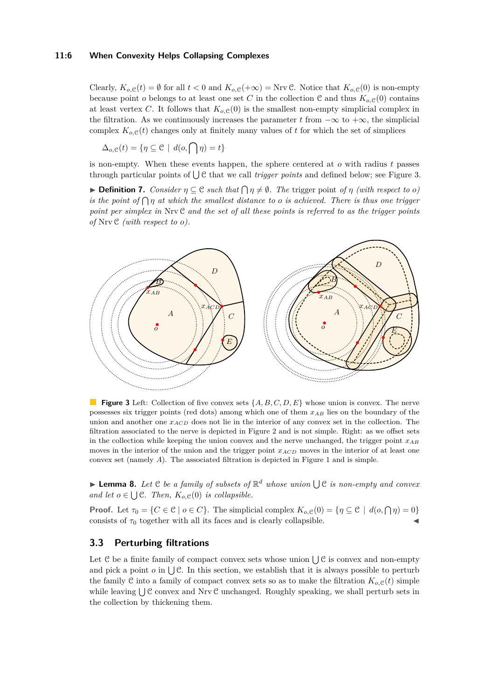#### **11:6 When Convexity Helps Collapsing Complexes**

Clearly,  $K_{o,\mathcal{C}}(t) = \emptyset$  for all  $t < 0$  and  $K_{o,\mathcal{C}}(+\infty) = \text{Nrv} \mathcal{C}$ . Notice that  $K_{o,\mathcal{C}}(0)$  is non-empty because point *o* belongs to at least one set *C* in the collection C and thus  $K_{o, \mathcal{C}}(0)$  contains at least vertex *C*. It follows that  $K_{o,\mathcal{C}}(0)$  is the smallest non-empty simplicial complex in the filtration. As we continuously increases the parameter t from  $-\infty$  to  $+\infty$ , the simplicial complex  $K_{o,\mathcal{C}}(t)$  changes only at finitely many values of t for which the set of simplices

$$
\Delta_{o,\mathcal{C}}(t) = \{ \eta \subseteq \mathcal{C} \mid d(o, \bigcap \eta) = t \}
$$

is non-empty. When these events happen, the sphere centered at *o* with radius *t* passes through particular points of  $\bigcup \mathcal{C}$  that we call *trigger points* and defined below; see Figure [3.](#page-5-1)

 $\blacktriangleright$  **Definition 7.** *Consider*  $\eta \subseteq \mathcal{C}$  *such that*  $\bigcap \eta \neq \emptyset$ *. The trigger point of*  $\eta$  *(with respect to o) is the point of*  $\bigcap$  *<i>n at which the smallest distance to o is achieved. There is thus one trigger point per simplex in* Nrv C *and the set of all these points is referred to as the trigger points of* Nrv C *(with respect to o).*

<span id="page-5-1"></span>

**Figure 3** Left: Collection of five convex sets {*A, B, C, D, E*} whose union is convex. The nerve possesses six trigger points (red dots) among which one of them *xAB* lies on the boundary of the union and another one *xACD* does not lie in the interior of any convex set in the collection. The filtration associated to the nerve is depicted in Figure [2](#page-3-1) and is not simple. Right: as we offset sets in the collection while keeping the union convex and the nerve unchanged, the trigger point *xAB* moves in the interior of the union and the trigger point *xACD* moves in the interior of at least one convex set (namely *A*). The associated filtration is depicted in Figure [1](#page-3-0) and is simple.

<span id="page-5-2"></span>**Lemma 8.** Let  $C$  be a family of subsets of  $\mathbb{R}^d$  whose union  $\bigcup C$  is non-empty and convex *and let*  $o \in \bigcup \mathcal{C}$ *. Then,*  $K_{o, \mathcal{C}}(0)$  *is collapsible.* 

**Proof.** Let  $\tau_0 = \{C \in \mathbb{C} \mid o \in C\}$ . The simplicial complex  $K_{o,\mathbb{C}}(0) = \{\eta \subseteq \mathbb{C} \mid d(o, \bigcap \eta) = 0\}$ consists of  $\tau_0$  together with all its faces and is clearly collapsible.

# <span id="page-5-0"></span>**3.3 Perturbing filtrations**

Let  $C$  be a finite family of compact convex sets whose union  $\bigcup C$  is convex and non-empty and pick a point  $o$  in  $\bigcup \mathcal{C}$ . In this section, we establish that it is always possible to perturb the family C into a family of compact convex sets so as to make the filtration  $K_{o, \mathcal{C}}(t)$  simple while leaving  $\bigcup \mathcal{C}$  convex and Nrv  $\mathcal{C}$  unchanged. Roughly speaking, we shall perturb sets in the collection by thickening them.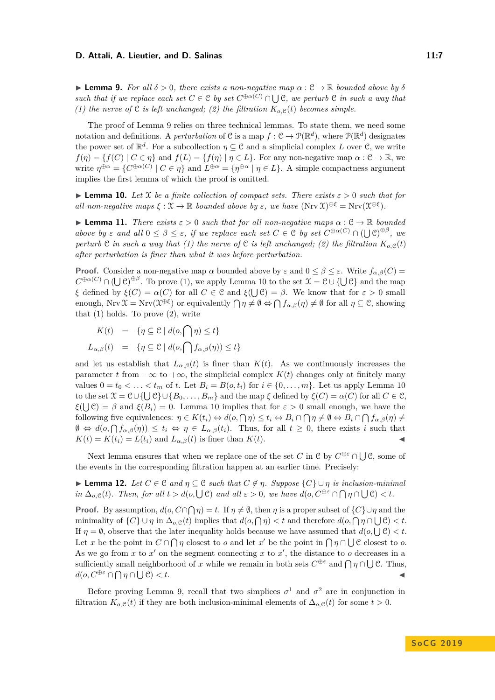#### **D. Attali, A. Lieutier, and D. Salinas 11:7 11:7 11:7**

<span id="page-6-0"></span> $\triangleright$  **Lemma 9.** *For all δ* > 0*, there exists a non-negative map*  $\alpha$  :  $\mathcal{C} \rightarrow \mathbb{R}$  *bounded above by δ such that if we replace each set*  $C \in \mathcal{C}$  *by set*  $C^{\oplus \alpha(C)} \cap \bigcup \mathcal{C}$ *, we perturb*  $\mathcal{C}$  *in such a way that (1) the nerve of*  $C$  *is left unchanged; (2) the filtration*  $K_{o,C}(t)$  *becomes simple.* 

The proof of Lemma [9](#page-6-0) relies on three technical lemmas. To state them, we need some notation and definitions. A *perturbation* of C is a map  $f: \mathcal{C} \to \mathcal{P}(\mathbb{R}^d)$ , where  $\mathcal{P}(\mathbb{R}^d)$  designates the power set of  $\mathbb{R}^d$ . For a subcollection  $\eta \subseteq \mathcal{C}$  and a simplicial complex *L* over  $\mathcal{C}$ , we write  $f(\eta) = \{f(C) \mid C \in \eta\}$  and  $f(L) = \{f(\eta) \mid \eta \in L\}$ . For any non-negative map  $\alpha : C \to \mathbb{R}$ , we write  $\eta^{\oplus \alpha} = \{ C^{\oplus \alpha(C)} \mid C \in \eta \}$  and  $L^{\oplus \alpha} = \{ \eta^{\oplus \alpha} \mid \eta \in L \}$ . A simple compactness argument implies the first lemma of which the proof is omitted.

<span id="page-6-1"></span>**I Lemma 10.** Let X be a finite collection of compact sets. There exists  $\varepsilon > 0$  such that for *all non-negative maps*  $\xi : \mathcal{X} \to \mathbb{R}$  *bounded above by*  $\varepsilon$ *, we have*  $(Nrv \mathcal{X})^{\oplus \xi} = Nrv(\mathcal{X}^{\oplus \xi})$ *.* 

<span id="page-6-2"></span>**I Lemma 11.** *There exists*  $\varepsilon > 0$  *such that for all non-negative maps*  $\alpha : \mathcal{C} \to \mathbb{R}$  *bounded above by*  $\varepsilon$  *and all*  $0 \leq \beta \leq \varepsilon$ *, if we replace each set*  $C \in \mathcal{C}$  *by set*  $C^{\oplus \alpha(C)} \cap (\bigcup \mathcal{C})^{\oplus \beta}$ *, we perturb* C *in such a way that* (1) the nerve of C *is left unchanged;* (2) the filtration  $K_{o,\mathcal{C}}(t)$ *after perturbation is finer than what it was before perturbation.*

**Proof.** Consider a non-negative map  $\alpha$  bounded above by  $\varepsilon$  and  $0 \leq \beta \leq \varepsilon$ . Write  $f_{\alpha,\beta}(C)$  =  $C^{\oplus \alpha(C)} \cap (\bigcup \mathcal{C})^{\oplus \beta}$ . To prove (1), we apply Lemma [10](#page-6-1) to the set  $\mathfrak{X} = \mathcal{C} \cup \{\bigcup \mathcal{C}\}$  and the map *ξ* defined by  $\xi(C) = \alpha(C)$  for all  $C \in \mathcal{C}$  and  $\xi(\bigcup \mathcal{C}) = \beta$ . We know that for  $\varepsilon > 0$  small enough,  $Nrv \mathfrak{X} = Nrv(\mathfrak{X}^{\oplus \xi})$  or equivalently  $\bigcap \eta \neq \emptyset \Leftrightarrow \bigcap f_{\alpha,\beta}(\eta) \neq \emptyset$  for all  $\eta \subseteq \mathcal{C}$ , showing that  $(1)$  holds. To prove  $(2)$ , write

$$
K(t) = \{ \eta \subseteq \mathcal{C} \mid d(o, \bigcap \eta) \le t \}
$$
  

$$
L_{\alpha,\beta}(t) = \{ \eta \subseteq \mathcal{C} \mid d(o, \bigcap f_{\alpha,\beta}(\eta)) \le t \}
$$

and let us establish that  $L_{\alpha,\beta}(t)$  is finer than  $K(t)$ . As we continuously increases the parameter *t* from  $-\infty$  to  $+\infty$ , the simplicial complex  $K(t)$  changes only at finitely many values  $0 = t_0 < \ldots < t_m$  of *t*. Let  $B_i = B(o, t_i)$  for  $i \in \{0, \ldots, m\}$ . Let us apply Lemma [10](#page-6-1)  $\text{for the set } \mathfrak{X} = \mathfrak{C} \cup \{\bigcup \mathfrak{C}\} \cup \{B_0, \ldots, B_m\}$  and the map  $\xi$  defined by  $\xi(C) = \alpha(C)$  for all  $C \in \mathfrak{C}$ ,  $\xi(\bigcup \mathcal{C}) = \beta$  and  $\xi(B_i) = 0$ . Lemma [10](#page-6-1) implies that for  $\varepsilon > 0$  small enough, we have the following five equivalences:  $\eta \in K(t_i) \Leftrightarrow d(o, \bigcap \eta) \leq t_i \Leftrightarrow B_i \cap \bigcap \eta \neq \emptyset \Leftrightarrow B_i \cap \bigcap f_{\alpha,\beta}(\eta) \neq$  $\emptyset \Leftrightarrow d(o, \bigcap f_{\alpha,\beta}(\eta)) \leq t_i \Leftrightarrow \eta \in L_{\alpha,\beta}(t_i)$ . Thus, for all  $t \geq 0$ , there exists *i* such that  $K(t) = K(t_i) = L(t_i)$  and  $L_{\alpha,\beta}(t)$  is finer than  $K(t)$ .

Next lemma ensures that when we replace one of the set *C* in  $\mathcal C$  by  $C^{\oplus \varepsilon} \cap \bigcup \mathcal C$ , some of the events in the corresponding filtration happen at an earlier time. Precisely:

<span id="page-6-3"></span>**► Lemma 12.** Let  $C \in \mathcal{C}$  and  $\eta \subseteq \mathcal{C}$  such that  $C \notin \eta$ . Suppose  $\{C\} \cup \eta$  is inclusion-minimal *in*  $\Delta_{o,\mathcal{C}}(t)$ *. Then, for all*  $t > d(o, \bigcup \mathcal{C})$  *and all*  $\varepsilon > 0$ *, we have*  $d(o, C^{\oplus \varepsilon} \cap \bigcap \eta \cap \bigcup \mathcal{C}) < t$ *.* 

**Proof.** By assumption,  $d(o, C \cap \bigcap \eta) = t$ . If  $\eta \neq \emptyset$ , then  $\eta$  is a proper subset of  $\{C\} \cup \eta$  and the minimality of  $\{C\} \cup \eta$  in  $\Delta_{o,\mathcal{C}}(t)$  implies that  $d(o, \bigcap \eta) < t$  and therefore  $d(o, \bigcap \eta \cap \bigcup \mathcal{C}) < t$ . If  $\eta = \emptyset$ , observe that the later inequality holds because we have assumed that  $d(o, \bigcup \mathcal{C}) < t$ . Let *x* be the point in  $C \cap \bigcap \eta$  closest to *o* and let *x'* be the point in  $\bigcap \eta \cap \bigcup C$  closest to *o*. As we go from  $x$  to  $x'$  on the segment connecting  $x$  to  $x'$ , the distance to  $o$  decreases in a sufficiently small neighborhood of *x* while we remain in both sets  $C^{\oplus \varepsilon}$  and  $\bigcap \eta \cap \bigcup \mathcal{C}$ . Thus,  $d(o, C<sup>⊕ε</sup> ∩ ∩ η ∩$  $\mathcal{C}$ )  $< t$ .

Before proving Lemma [9,](#page-6-0) recall that two simplices  $\sigma^1$  and  $\sigma^2$  are in conjunction in filtration  $K_{o,\mathcal{C}}(t)$  if they are both inclusion-minimal elements of  $\Delta_{o,\mathcal{C}}(t)$  for some  $t > 0$ .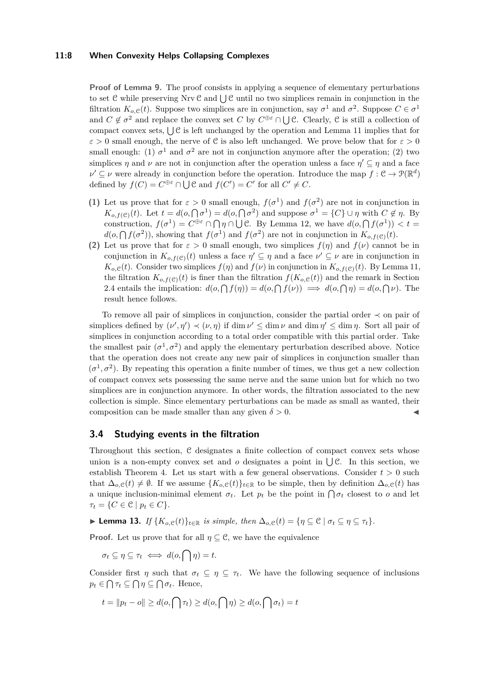#### **11:8 When Convexity Helps Collapsing Complexes**

**Proof of Lemma [9.](#page-6-0)** The proof consists in applying a sequence of elementary perturbations to set C while preserving Nrv C and  $\bigcup$  C until no two simplices remain in conjunction in the filtration  $K_{o,\mathcal{C}}(t)$ . Suppose two simplices are in conjunction, say  $\sigma^1$  and  $\sigma^2$ . Suppose  $C \in \sigma^1$ and  $C \notin \sigma^2$  and replace the convex set  $C$  by  $C^{\oplus \varepsilon} \cap \bigcup C$ . Clearly,  $\mathcal C$  is still a collection of compact convex sets,  $\bigcup \mathcal{C}$  is left unchanged by the operation and Lemma [11](#page-6-2) implies that for  $\varepsilon > 0$  small enough, the nerve of C is also left unchanged. We prove below that for  $\varepsilon > 0$ small enough: (1)  $\sigma^1$  and  $\sigma^2$  are not in conjunction anymore after the operation; (2) two simplices  $\eta$  and  $\nu$  are not in conjunction after the operation unless a face  $\eta' \subseteq \eta$  and a face  $\nu' \subseteq \nu$  were already in conjunction before the operation. Introduce the map  $f : \mathcal{C} \to \mathcal{P}(\mathbb{R}^d)$ defined by  $f(C) = C^{\oplus \varepsilon} \cap \bigcup \mathcal{C}$  and  $f(C') = C'$  for all  $C' \neq C$ .

- **(1)** Let us prove that for  $\varepsilon > 0$  small enough,  $f(\sigma^1)$  and  $f(\sigma^2)$  are not in conjunction in *K*<sub>*o,f*(*C*)(*t*). Let  $t = d(o, \bigcap \sigma^1) = d(o, \bigcap \sigma^2)$  and suppose  $\sigma^1 = \{C\} \cup \eta$  with  $C \notin \eta$ . By</sub> construction,  $f(\sigma^1) = C^{\oplus \varepsilon} \cap \bigcap \eta \cap \bigcup \mathcal{C}$ . By Lemma [12,](#page-6-3) we have  $d(o, \bigcap f(\sigma^1)) < t$  $d(o, \bigcap f(\sigma^2))$ , showing that  $f(\sigma^1)$  and  $f(\sigma^2)$  are not in conjunction in  $K_{o,f(\mathcal{C})}(t)$ .
- **(2)** Let us prove that for  $\varepsilon > 0$  small enough, two simplices  $f(\eta)$  and  $f(\nu)$  cannot be in conjunction in  $K_{o,f(\mathcal{C})}(t)$  unless a face  $\eta' \subseteq \eta$  and a face  $\nu' \subseteq \nu$  are in conjunction in  $K_{o,\mathcal{C}}(t)$ . Consider two simplices  $f(\eta)$  and  $f(\nu)$  in conjunction in  $K_{o,f(\mathcal{C})}(t)$ . By Lemma [11,](#page-6-2) the filtration  $K_{o,f(\mathcal{C})}(t)$  is finer than the filtration  $f(K_{o,\mathcal{C}}(t))$  and the remark in Section [2.4](#page-2-1) entails the implication:  $d(o, \bigcap f(\eta)) = d(o, \bigcap f(\nu)) \implies d(o, \bigcap \eta) = d(o, \bigcap \nu)$ . The result hence follows.

To remove all pair of simplices in conjunction, consider the partial order ≺ on pair of simplices defined by  $(\nu', \eta') \prec (\nu, \eta)$  if dim  $\nu' \leq \dim \nu$  and dim  $\eta' \leq \dim \eta$ . Sort all pair of simplices in conjunction according to a total order compatible with this partial order. Take the smallest pair  $(\sigma^1, \sigma^2)$  and apply the elementary perturbation described above. Notice that the operation does not create any new pair of simplices in conjunction smaller than  $(\sigma^1, \sigma^2)$ . By repeating this operation a finite number of times, we thus get a new collection of compact convex sets possessing the same nerve and the same union but for which no two simplices are in conjunction anymore. In other words, the filtration associated to the new collection is simple. Since elementary perturbations can be made as small as wanted, their composition can be made smaller than any given  $\delta > 0$ .

# <span id="page-7-0"></span>**3.4 Studying events in the filtration**

Throughout this section, C designates a finite collection of compact convex sets whose union is a non-empty convex set and  $o$  designates a point in  $\bigcup \mathcal{C}$ . In this section, we establish Theorem [4.](#page-4-0) Let us start with a few general observations. Consider  $t > 0$  such that  $\Delta_{o,\mathcal{C}}(t) \neq \emptyset$ . If we assume  $\{K_{o,\mathcal{C}}(t)\}_{t\in\mathbb{R}}$  to be simple, then by definition  $\Delta_{o,\mathcal{C}}(t)$  has a unique inclusion-minimal element  $\sigma_t$ . Let  $p_t$  be the point in  $\bigcap \sigma_t$  closest to *o* and let  $\tau_t = \{ C \in \mathcal{C} \mid p_t \in C \}.$ 

<span id="page-7-1"></span>► **Lemma 13.** *If*  $\{K_{o,\mathcal{C}}(t)\}_{t\in\mathbb{R}}$  *is simple, then*  $\Delta_{o,\mathcal{C}}(t) = \{\eta \subseteq \mathcal{C} \mid \sigma_t \subseteq \eta \subseteq \tau_t\}$ .

**Proof.** Let us prove that for all  $\eta \subset \mathcal{C}$ , we have the equivalence

 $\sigma_t \subseteq \eta \subseteq \tau_t \iff d(o, \bigcap \eta) = t.$ 

Consider first *η* such that  $\sigma_t \subseteq \eta \subseteq \tau_t$ . We have the following sequence of inclusions  $p_t \in \bigcap \tau_t \subseteq \bigcap \eta \subseteq \bigcap \sigma_t$ . Hence,

$$
t = ||p_t - o|| \ge d(o, \bigcap \tau_t) \ge d(o, \bigcap \eta) \ge d(o, \bigcap \sigma_t) = t
$$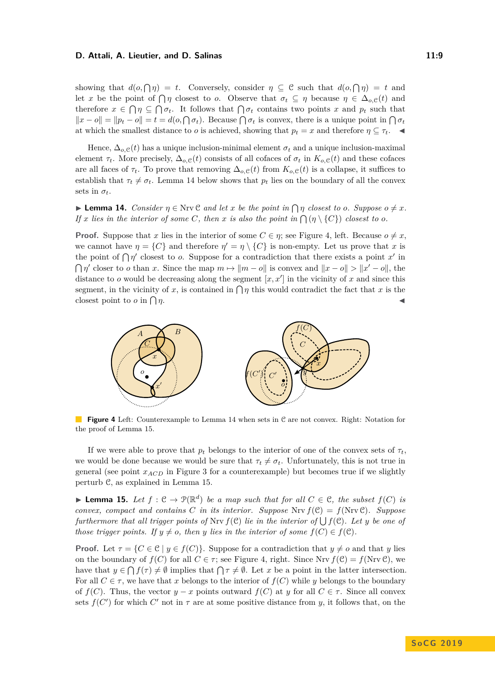#### **D. Attali, A. Lieutier, and D. Salinas 11:9 11:9 11:9**

showing that  $d(o, \bigcap \eta) = t$ . Conversely, consider  $\eta \subseteq \mathcal{C}$  such that  $d(o, \bigcap \eta) = t$  and let *x* be the point of  $\bigcap \eta$  closest to *o*. Observe that  $\sigma_t \subseteq \eta$  because  $\eta \in \Delta_{o,\mathcal{C}}(t)$  and therefore  $x \in \bigcap \eta \subseteq \bigcap \sigma_t$ . It follows that  $\bigcap \sigma_t$  contains two points *x* and  $p_t$  such that  $||x - o|| = ||p_t - o|| = t = d(o, \bigcap \sigma_t)$ . Because  $\bigcap \sigma_t$  is convex, there is a unique point in  $\bigcap \sigma_t$ at which the smallest distance to *o* is achieved, showing that  $p_t = x$  and therefore  $\eta \subseteq \tau_t$ .

Hence,  $\Delta_{o,\mathcal{C}}(t)$  has a unique inclusion-minimal element  $\sigma_t$  and a unique inclusion-maximal element  $\tau_t$ . More precisely,  $\Delta_{o,\mathcal{C}}(t)$  consists of all cofaces of  $\sigma_t$  in  $K_{o,\mathcal{C}}(t)$  and these cofaces are all faces of  $\tau_t$ . To prove that removing  $\Delta_{o,\mathcal{C}}(t)$  from  $K_{o,\mathcal{C}}(t)$  is a collapse, it suffices to establish that  $\tau_t \neq \sigma_t$ . Lemma [14](#page-8-0) below shows that  $p_t$  lies on the boundary of all the convex sets in  $\sigma_t$ .

<span id="page-8-0"></span>**Example 14.** *Consider*  $\eta \in \text{Nrv} \mathcal{C}$  *and let*  $x$  *be the point in*  $\bigcap \eta$  *closest to 0. Suppose*  $o \neq x$ *. If x lies in the interior of some C, then x is also the point in*  $\bigcap (\eta \setminus \{C\})$  *closest to o.* 

**Proof.** Suppose that *x* lies in the interior of some  $C \in \eta$ ; see Figure [4,](#page-8-1) left. Because  $o \neq x$ , we cannot have  $\eta = \{C\}$  and therefore  $\eta' = \eta \setminus \{C\}$  is non-empty. Let us prove that *x* is the point of  $\bigcap \eta'$  closest to *o*. Suppose for a contradiction that there exists a point *x'* in  $\bigcap \eta'$  closer to *o* than *x*. Since the map  $m \mapsto ||m - o||$  is convex and  $||x - o|| > ||x' - o||$ , the distance to  $o$  would be decreasing along the segment  $[x, x']$  in the vicinity of  $x$  and since this segment, in the vicinity of *x*, is contained in  $\bigcap \eta$  this would contradict the fact that *x* is the closest point to *o* in  $\bigcap \eta$ .  $\eta$ .

<span id="page-8-1"></span>

**Figure 4** Left: Counterexample to Lemma [14](#page-8-0) when sets in C are not convex. Right: Notation for the proof of Lemma [15.](#page-8-2)

If we were able to prove that  $p_t$  belongs to the interior of one of the convex sets of  $\tau_t$ , we would be done because we would be sure that  $\tau_t \neq \sigma_t$ . Unfortunately, this is not true in general (see point  $x_{ACD}$  in Figure [3](#page-5-1) for a counterexample) but becomes true if we slightly perturb C, as explained in Lemma [15.](#page-8-2)

<span id="page-8-2"></span>▶ **Lemma 15.** Let  $f: \mathcal{C} \to \mathcal{P}(\mathbb{R}^d)$  be a map such that for all  $C \in \mathcal{C}$ , the subset  $f(C)$  is *convex, compact and contains C in its interior. Suppose* Nrv  $f(\mathcal{C}) = f(N\mathbf{r}\mathbf{v}\mathcal{C})$ *. Suppose furthermore that all trigger points of*  $Nrv f(\mathcal{C})$  *lie in the interior of*  $\bigcup f(\mathcal{C})$ *. Let y be one of those trigger points.* If  $y \neq o$ *, then y lies in the interior of some*  $f(C) \in f(C)$ *.* 

**Proof.** Let  $\tau = \{C \in \mathcal{C} \mid y \in f(C)\}$ . Suppose for a contradiction that  $y \neq o$  and that *y* lies on the boundary of  $f(C)$  for all  $C \in \tau$ ; see Figure [4,](#page-8-1) right. Since Nrv  $f(\mathcal{C}) = f(\text{Nrv }\mathcal{C})$ , we have that  $y \in \bigcap f(\tau) \neq \emptyset$  implies that  $\bigcap \tau \neq \emptyset$ . Let x be a point in the latter intersection. For all  $C \in \tau$ , we have that *x* belongs to the interior of  $f(C)$  while *y* belongs to the boundary of  $f(C)$ . Thus, the vector  $y - x$  points outward  $f(C)$  at *y* for all  $C \in \tau$ . Since all convex sets  $f(C')$  for which  $C'$  not in  $\tau$  are at some positive distance from *y*, it follows that, on the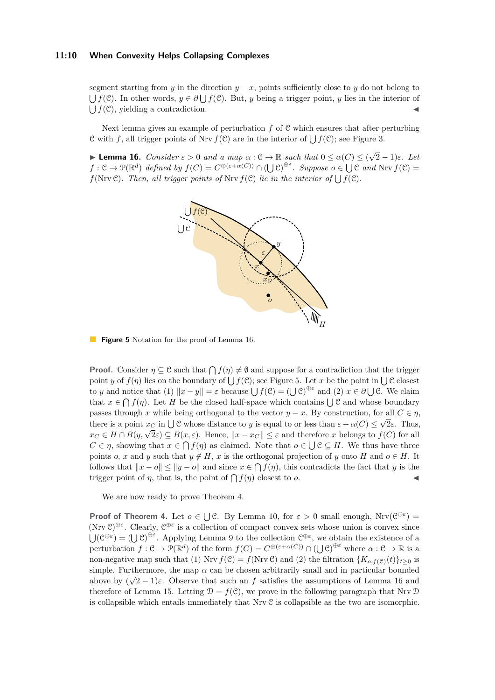#### **11:10 When Convexity Helps Collapsing Complexes**

segment starting from *y* in the direction  $y - x$ , points sufficiently close to *y* do not belong to  $\bigcup f(\mathcal{C})$ . In other words,  $y \in \partial \bigcup f(\mathcal{C})$ . But, *y* being a trigger point, *y* lies in the interior of  $\bigcup f(\mathcal{C})$ , yielding a contradiction.

Next lemma gives an example of perturbation *f* of C which ensures that after perturbing C with f, all trigger points of Nrv  $f(\mathcal{C})$  are in the interior of  $\bigcup f(\mathcal{C})$ ; see Figure [3.](#page-5-1)

<span id="page-9-1"></span><span id="page-9-0"></span>**Lemma 16.** *Consider*  $\varepsilon > 0$  *and a map*  $\alpha : \mathcal{C} \to \mathbb{R}$  *such that*  $0 \leq \alpha(C) \leq (\sqrt{C})^2$ 2 − 1)*ε. Let*  $f: \mathcal{C} \to \mathcal{P}(\mathbb{R}^d)$  *defined by*  $f(C) = C^{\oplus (\varepsilon + \alpha(C))} \cap (\bigcup \mathcal{C})^{\oplus \varepsilon}$ . Suppose  $o \in \bigcup \mathcal{C}$  and  $Nrv f(\mathcal{C}) =$  $f(\text{Nrv }\mathcal{C})$ *. Then, all trigger points of*  $\text{Nrv } f(\mathcal{C})$  *lie in the interior of*  $\bigcup f(\mathcal{C})$ *.* 



**Figure 5** Notation for the proof of Lemma [16.](#page-9-0)

**Proof.** Consider  $\eta \subseteq \mathcal{C}$  such that  $\bigcap f(\eta) \neq \emptyset$  and suppose for a contradiction that the trigger point *y* of  $f(\eta)$  lies on the boundary of  $\bigcup f(\mathcal{C})$ ; see Figure [5.](#page-9-1) Let *x* be the point in  $\bigcup \mathcal{C}$  closest to *y* and notice that (1)  $||x - y|| = \varepsilon$  because  $\bigcup f(\mathcal{C}) = (\bigcup \mathcal{C})^{\oplus \varepsilon}$  and (2)  $x \in \partial \bigcup \mathcal{C}$ . We claim that  $x \in \bigcap f(\eta)$ . Let *H* be the closed half-space which contains  $\bigcup \mathcal{C}$  and whose boundary passes through *x* while being orthogonal to the vector  $y - x$ . By construction, for all  $C \in \eta$ , there is a point  $x_C$  in  $\bigcup \mathcal{C}$  whose distance to *y* is equal to or less than  $\varepsilon + \alpha(C) \leq \sqrt{2\varepsilon}$ . Thus, *x*<sub>*C*</sub> ∈ *H* ∩ *B*(*y*,  $\sqrt{2}$ *ε*) ⊆ *B*(*x*, *ε*). Hence,  $|x - x_C|$  ≤ *ε* and therefore *x* belongs to *f*(*C*) for all  $C \in \eta$ , showing that  $x \in \bigcap f(\eta)$  as claimed. Note that  $o \in \bigcup \mathcal{C} \subseteq H$ . We thus have three points *o*, *x* and *y* such that  $y \notin H$ , *x* is the orthogonal projection of *y* onto *H* and  $o \in H$ . It follows that  $||x - o|| \le ||y - o||$  and since  $x \in \bigcap f(\eta)$ , this contradicts the fact that *y* is the trigger point of  $\eta$ , that is, the point of  $\bigcap f(\eta)$  closest to *o*.

We are now ready to prove Theorem [4.](#page-4-0)

**Proof of Theorem [4.](#page-4-0)** Let  $o \in \bigcup \mathcal{C}$ . By Lemma [10,](#page-6-1) for  $\varepsilon > 0$  small enough, Nrv $(\mathcal{C}^{\oplus \varepsilon}) =$ (Nrv  $\mathcal{C}$ )<sup> $\oplus \varepsilon$ </sup>. Clearly,  $\mathcal{C}^{\oplus \varepsilon}$  is a collection of compact convex sets whose union is convex since  $\bigcup (\mathcal{C}^{\oplus \varepsilon}) = (\bigcup \mathcal{C})^{\oplus \varepsilon}$ . Applying Lemma [9](#page-6-0) to the collection  $\mathcal{C}^{\oplus \varepsilon}$ , we obtain the existence of a perturbation  $f: \mathcal{C} \to \mathcal{P}(\mathbb{R}^d)$  of the form  $f(C) = C^{\oplus (\varepsilon + \alpha(C))} \cap (\bigcup \mathcal{C})^{\oplus \varepsilon}$  where  $\alpha: \mathcal{C} \to \mathbb{R}$  is a non-negative map such that (1) Nrv  $f(\mathcal{C}) = f(\text{Nrv }\mathcal{C})$  and (2) the filtration  $\{K_{o,f(\mathcal{C})}(t)\}_{t>0}$  is simple. Furthermore, the map  $\alpha$  can be chosen arbitrarily small and in particular bounded above by  $(\sqrt{2}-1)\varepsilon$ . Observe that such an f satisfies the assumptions of Lemma [16](#page-9-0) and therefore of Lemma [15.](#page-8-2) Letting  $\mathcal{D} = f(\mathcal{C})$ , we prove in the following paragraph that Nrv  $\mathcal{D}$ is collapsible which entails immediately that Nrv C is collapsible as the two are isomorphic.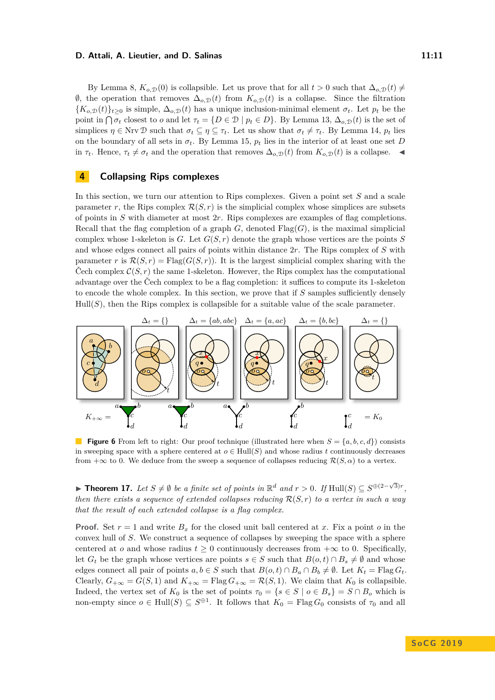#### **D. Attali, A. Lieutier, and D. Salinas 11:11 11:11**

By Lemma [8,](#page-5-2)  $K_{o,\mathcal{D}}(0)$  is collapsible. Let us prove that for all  $t > 0$  such that  $\Delta_{o,\mathcal{D}}(t) \neq$ ∅, the operation that removes ∆*o,*<sup>D</sup>(*t*) from *Ko,*<sup>D</sup>(*t*) is a collapse. Since the filtration  ${K_{o,\mathcal{D}}(t)}$ <sub>t</sub> > 0 is simple,  $\Delta_{o,\mathcal{D}}(t)$  has a unique inclusion-minimal element  $\sigma_t$ . Let  $p_t$  be the point in  $\bigcap \sigma_t$  closest to *o* and let  $\tau_t = \{D \in \mathcal{D} \mid p_t \in D\}$ . By Lemma [13,](#page-7-1)  $\Delta_{o,\mathcal{D}}(t)$  is the set of simplices  $\eta \in \text{Nrv } \mathcal{D}$  such that  $\sigma_t \subseteq \eta \subseteq \tau_t$ . Let us show that  $\sigma_t \neq \tau_t$ . By Lemma [14,](#page-8-0)  $p_t$  lies on the boundary of all sets in  $\sigma_t$ . By Lemma [15,](#page-8-2)  $p_t$  lies in the interior of at least one set *D* in  $\tau_t$ . Hence,  $\tau_t \neq \sigma_t$  and the operation that removes  $\Delta_{o,\mathcal{D}}(t)$  from  $K_{o,\mathcal{D}}(t)$  is a collapse.

# **4 Collapsing Rips complexes**

In this section, we turn our attention to Rips complexes. Given a point set *S* and a scale parameter *r*, the Rips complex  $\mathcal{R}(S,r)$  is the simplicial complex whose simplices are subsets of points in *S* with diameter at most 2*r*. Rips complexes are examples of flag completions. Recall that the flag completion of a graph  $G$ , denoted  $\text{Flag}(G)$ , is the maximal simplicial complex whose 1-skeleton is  $G$ . Let  $G(S, r)$  denote the graph whose vertices are the points  $S$ and whose edges connect all pairs of points within distance 2*r*. The Rips complex of *S* with parameter *r* is  $\mathcal{R}(S, r) = \text{Flag}(G(S, r))$ . It is the largest simplicial complex sharing with the Čech complex  $C(S, r)$  the same 1-skeleton. However, the Rips complex has the computational advantage over the Čech complex to be a flag completion: it suffices to compute its 1-skeleton to encode the whole complex. In this section, we prove that if *S* samples sufficiently densely  $Hull(S)$ , then the Rips complex is collapsible for a suitable value of the scale parameter.

<span id="page-10-0"></span>

**Figure 6** From left to right: Our proof technique (illustrated here when  $S = \{a, b, c, d\}$ ) consists in sweeping space with a sphere centered at  $o \in Hull(S)$  and whose radius *t* continuously decreases from  $+\infty$  to 0. We deduce from the sweep a sequence of collapses reducing  $\mathcal{R}(S,\alpha)$  to a vertex.

<span id="page-10-1"></span>► **Theorem 17.** Let  $S \neq \emptyset$  be a finite set of points in  $\mathbb{R}^d$  and  $r > 0$ . If  $\text{Hull}(S) \subseteq S^{\oplus (2-\sqrt{3})r}$ , *then there exists a sequence of extended collapses reducing* R(*S, r*) *to a vertex in such a way that the result of each extended collapse is a flag complex.*

**Proof.** Set  $r = 1$  and write  $B_x$  for the closed unit ball centered at x. Fix a point o in the convex hull of *S*. We construct a sequence of collapses by sweeping the space with a sphere centered at *o* and whose radius  $t \geq 0$  continuously decreases from  $+\infty$  to 0. Specifically, let  $G_t$  be the graph whose vertices are points  $s \in S$  such that  $B(o, t) \cap B_s \neq \emptyset$  and whose edges connect all pair of points  $a, b \in S$  such that  $B(o, t) \cap B_a \cap B_b \neq \emptyset$ . Let  $K_t = \text{Flag } G_t$ . Clearly,  $G_{+\infty} = G(S, 1)$  and  $K_{+\infty} = \text{Flag } G_{+\infty} = \mathcal{R}(S, 1)$ . We claim that  $K_0$  is collapsible. Indeed, the vertex set of  $K_0$  is the set of points  $\tau_0 = \{s \in S \mid o \in B_s\} = S \cap B_o$  which is non-empty since  $o \in Hull(S) \subseteq S^{\oplus 1}$ . It follows that  $K_0 = Flag G_0$  consists of  $\tau_0$  and all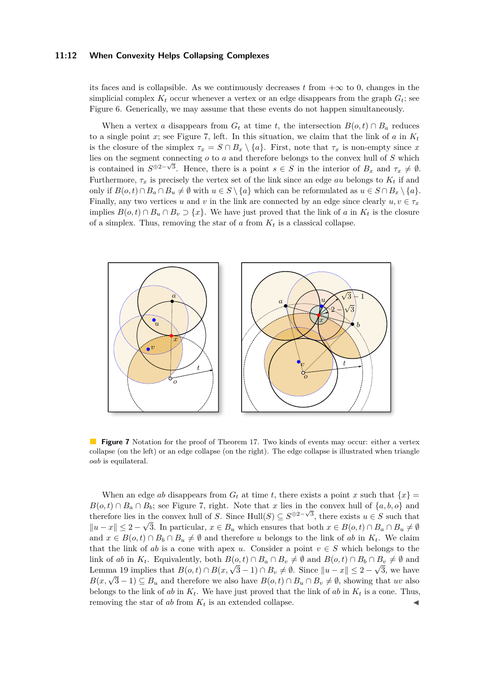#### **11:12 When Convexity Helps Collapsing Complexes**

its faces and is collapsible. As we continuously decreases t from  $+\infty$  to 0, changes in the simplicial complex  $K_t$  occur whenever a vertex or an edge disappears from the graph  $G_t$ ; see Figure [6.](#page-10-0) Generically, we may assume that these events do not happen simultaneously.

When a vertex *a* disappears from  $G_t$  at time *t*, the intersection  $B(o, t) \cap B_a$  reduces to a single point  $x$ ; see Figure [7,](#page-11-0) left. In this situation, we claim that the link of  $a$  in  $K_t$ is the closure of the simplex  $\tau_x = S \cap B_x \setminus \{a\}$ . First, note that  $\tau_x$  is non-empty since *x* lies on the segment connecting *o* to *a* and therefore belongs to the convex hull of *S* which is contained in  $S^{\oplus 2-\sqrt{3}}$ . Hence, there is a point  $s \in S$  in the interior of  $B_x$  and  $\tau_x \neq \emptyset$ . Furthermore,  $\tau_x$  is precisely the vertex set of the link since an edge *au* belongs to  $K_t$  if and only if  $B(o, t) \cap B_a \cap B_u \neq \emptyset$  with  $u \in S \setminus \{a\}$  which can be reformulated as  $u \in S \cap B_x \setminus \{a\}$ . Finally, any two vertices *u* and *v* in the link are connected by an edge since clearly  $u, v \in \tau_x$ implies  $B(o, t) \cap B_u \cap B_v \supset \{x\}$ . We have just proved that the link of *a* in  $K_t$  is the closure of a simplex. Thus, removing the star of  $a$  from  $K_t$  is a classical collapse.

<span id="page-11-0"></span>

**Figure 7** Notation for the proof of Theorem [17.](#page-10-1) Two kinds of events may occur: either a vertex collapse (on the left) or an edge collapse (on the right). The edge collapse is illustrated when triangle *oab* is equilateral.

When an edge *ab* disappears from  $G_t$  at time *t*, there exists a point *x* such that  $\{x\}$  =  $B(o, t) \cap B_a \cap B_b$ ; see Figure [7,](#page-11-0) right. Note that *x* lies in the convex hull of  $\{a, b, o\}$  and therefore lies in the convex hull of *S*. Since Hull(*S*)  $\subseteq$  *S*<sup>⊕2− $\sqrt{3}$ , there exists *u* ∈ *S* such that</sup>  $||u - x|| \leq 2 - \sqrt{3}$ . In particular,  $x \in B_u$  which ensures that both  $x \in B(o, t) \cap B_a \cap B_u \neq \emptyset$ and  $x \in B(o, t) \cap B_b \cap B_u \neq \emptyset$  and therefore *u* belongs to the link of *ab* in  $K_t$ . We claim that the link of *ab* is a cone with apex *u*. Consider a point  $v \in S$  which belongs to the link of *ab* in  $K_t$ . Equivalently, both  $B(o, t) \cap B_a \cap B_v \neq \emptyset$  and  $B(o, t) \cap B_b \cap B_v \neq \emptyset$  and Lemma [19](#page-13-0) implies that  $B(o,t) \cap B(x,\sqrt{3}-1) \cap B_v \neq \emptyset$ . Since  $||u-x|| \leq 2-\sqrt{3}$ , we have *B*(*x*,  $\sqrt{3} - 1$ )  $\subseteq B_u$  and therefore we also have  $B(o, t) \cap B_u \cap B_v \neq \emptyset$ , showing that *uv* also belongs to the link of  $ab$  in  $K_t$ . We have just proved that the link of  $ab$  in  $K_t$  is a cone. Thus, removing the star of  $ab$  from  $K_t$  is an extended collapse.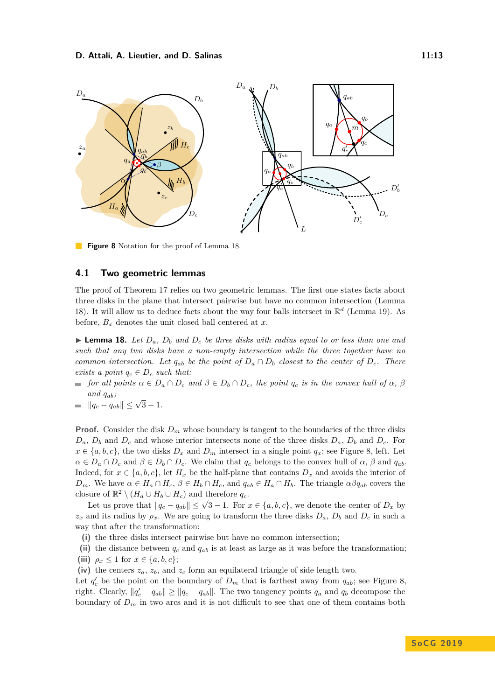<span id="page-12-1"></span>

**Figure 8** Notation for the proof of Lemma [18.](#page-12-0)

### **4.1 Two geometric lemmas**

The proof of Theorem [17](#page-10-1) relies on two geometric lemmas. The first one states facts about three disks in the plane that intersect pairwise but have no common intersection (Lemma [18\)](#page-12-0). It will allow us to deduce facts about the way four balls intersect in  $\mathbb{R}^d$  (Lemma [19\)](#page-13-0). As before,  $B_x$  denotes the unit closed ball centered at  $x$ .

<span id="page-12-0"></span>**Lemma 18.** Let  $D_a$ ,  $D_b$  and  $D_c$  be three disks with radius equal to or less than one and *such that any two disks have a non-empty intersection while the three together have no common intersection. Let*  $q_{ab}$  *be the point of*  $D_a \cap D_b$  *closest to the center of*  $D_c$ *. There exists a point*  $q_c \in D_c$  *such that:* 

- $f$  *for all points*  $\alpha \in D_a \cap D_c$  *and*  $\beta \in D_b \cap D_c$ *, the point*  $q_c$  *is in the convex hull of*  $\alpha$ *,*  $\beta$ and  $q_{ab}$ ;
- $\|q_c q_{ab}\| \leq \sqrt{3} 1.$

**Proof.** Consider the disk  $D_m$  whose boundary is tangent to the boundaries of the three disks  $D_a$ ,  $D_b$  and  $D_c$  and whose interior intersects none of the three disks  $D_a$ ,  $D_b$  and  $D_c$ . For  $x \in \{a, b, c\}$ , the two disks  $D_x$  and  $D_m$  intersect in a single point  $q_x$ ; see Figure [8,](#page-12-1) left. Let  $\alpha \in D_a \cap D_c$  and  $\beta \in D_b \cap D_c$ . We claim that  $q_c$  belongs to the convex hull of  $\alpha, \beta$  and  $q_{ab}$ . Indeed, for  $x \in \{a, b, c\}$ , let  $H_x$  be the half-plane that contains  $D_x$  and avoids the interior of  $D_m$ . We have  $\alpha \in H_a \cap H_c$ ,  $\beta \in H_b \cap H_c$ , and  $q_{ab} \in H_a \cap H_b$ . The triangle  $\alpha \beta q_{ab}$  covers the closure of  $\mathbb{R}^2 \setminus (H_a \cup H_b \cup H_c)$  and therefore  $q_c$ .

Let us prove that  $||q_c - q_{ab}|| \leq \sqrt{3} - 1$ . For  $x \in \{a, b, c\}$ , we denote the center of  $D_x$  by  $z_x$  and its radius by  $\rho_x$ . We are going to transform the three disks  $D_a$ ,  $D_b$  and  $D_c$  in such a way that after the transformation:

- **(i)** the three disks intersect pairwise but have no common intersection;
- **(ii)** the distance between *q<sup>c</sup>* and *qab* is at least as large as it was before the transformation; (iii)  $\rho_x \leq 1$  for  $x \in \{a, b, c\};$
- **(iv)** the centers *za*, *zb*, and *z<sup>c</sup>* form an equilateral triangle of side length two.

Let  $q'_c$  be the point on the boundary of  $D_m$  that is farthest away from  $q_{ab}$ ; see Figure [8,](#page-12-1) right. Clearly,  $||q'_{c} - q_{ab}|| \ge ||q_{c} - q_{ab}||$ . The two tangency points  $q_{a}$  and  $q_{b}$  decompose the boundary of  $D_m$  in two arcs and it is not difficult to see that one of them contains both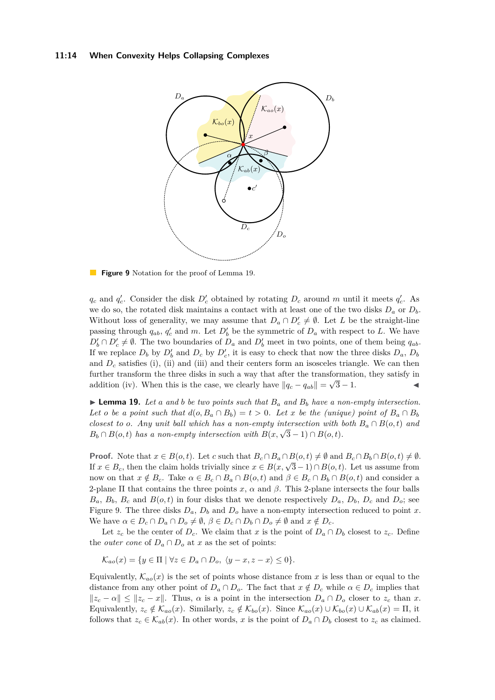#### <span id="page-13-1"></span>**11:14 When Convexity Helps Collapsing Complexes**



**Figure 9** Notation for the proof of Lemma [19.](#page-13-0)

 $q_c$  and  $q_c'$ . Consider the disk  $D_c'$  obtained by rotating  $D_c$  around *m* until it meets  $q_c'$ . As we do so, the rotated disk maintains a contact with at least one of the two disks  $D_a$  or  $D_b$ . Without loss of generality, we may assume that  $D_a \cap D'_c \neq \emptyset$ . Let *L* be the straight-line passing through  $q_{ab}$ ,  $q'_c$  and *m*. Let  $D'_b$  be the symmetric of  $D_a$  with respect to *L*. We have  $D'_b \cap D'_c \neq \emptyset$ . The two boundaries of  $D_a$  and  $D'_b$  meet in two points, one of them being  $q_{ab}$ . If we replace  $D_b$  by  $D'_b$  and  $D_c$  by  $D'_c$ , it is easy to check that now the three disks  $D_a$ ,  $D_b$ and  $D_c$  satisfies (i), (ii) and (iii) and their centers form an isosceles triangle. We can then further transform the three disks in such a way that after the transformation, they satisfy in addition (iv). When this is the case, we clearly have  $||q_c - q_{ab}|| = \sqrt{3} - 1$ .

<span id="page-13-0"></span> $\blacktriangleright$  **Lemma 19.** Let a and b be two points such that  $B_a$  and  $B_b$  have a non-empty intersection. *Let o be a point such that*  $d(o, B_a \cap B_b) = t > 0$ *. Let x be the (unique) point of*  $B_a \cap B_b$ *closest to o. Any unit ball which has a non-empty intersection with both*  $B_a \cap B(o, t)$  and  $B_b \cap B(o,t)$  *has a non-empty intersection with*  $B(x, \sqrt{3}-1) \cap B(o,t)$ *.* 

**Proof.** Note that  $x \in B(o, t)$ . Let *c* such that  $B_c \cap B_a \cap B(o, t) \neq \emptyset$  and  $B_c \cap B_b \cap B(o, t) \neq \emptyset$ . **If**  $x \in B_c$ , then the claim holds trivially since  $x \in B(x, \sqrt{3}-1) \cap B(o,t)$ . Let us assume from now on that  $x \notin B_c$ . Take  $\alpha \in B_c \cap B_a \cap B(o, t)$  and  $\beta \in B_c \cap B_b \cap B(o, t)$  and consider a 2-plane  $\Pi$  that contains the three points  $x$ ,  $\alpha$  and  $\beta$ . This 2-plane intersects the four balls  $B_a$ ,  $B_b$ ,  $B_c$  and  $B(o, t)$  in four disks that we denote respectively  $D_a$ ,  $D_b$ ,  $D_c$  and  $D_o$ ; see Figure [9.](#page-13-1) The three disks  $D_a$ ,  $D_b$  and  $D_o$  have a non-empty intersection reduced to point *x*. We have  $\alpha \in D_c \cap D_a \cap D_o \neq \emptyset$ ,  $\beta \in D_c \cap D_b \cap D_o \neq \emptyset$  and  $x \notin D_c$ .

Let  $z_c$  be the center of  $D_c$ . We claim that *x* is the point of  $D_a \cap D_b$  closest to  $z_c$ . Define the *outer cone* of  $D_a \cap D_o$  at *x* as the set of points:

 $\mathcal{K}_{aa}(x) = \{y \in \Pi \mid \forall z \in D_a \cap D_o, \ \langle y - x, z - x \rangle \leq 0\}.$ 

Equivalently,  $\mathcal{K}_{ao}(x)$  is the set of points whose distance from x is less than or equal to the distance from any other point of  $D_a \cap D_o$ . The fact that  $x \notin D_c$  while  $\alpha \in D_c$  implies that  $||z_c - \alpha|| \le ||z_c - x||$ . Thus,  $\alpha$  is a point in the intersection  $D_a \cap D_o$  closer to  $z_c$  than *x*. Equivalently,  $z_c \notin \mathcal{K}_{ao}(x)$ . Similarly,  $z_c \notin \mathcal{K}_{bo}(x)$ . Since  $\mathcal{K}_{ao}(x) \cup \mathcal{K}_{bo}(x) \cup \mathcal{K}_{ab}(x) = \Pi$ , it follows that  $z_c \in \mathcal{K}_{ab}(x)$ . In other words, *x* is the point of  $D_a \cap D_b$  closest to  $z_c$  as claimed.